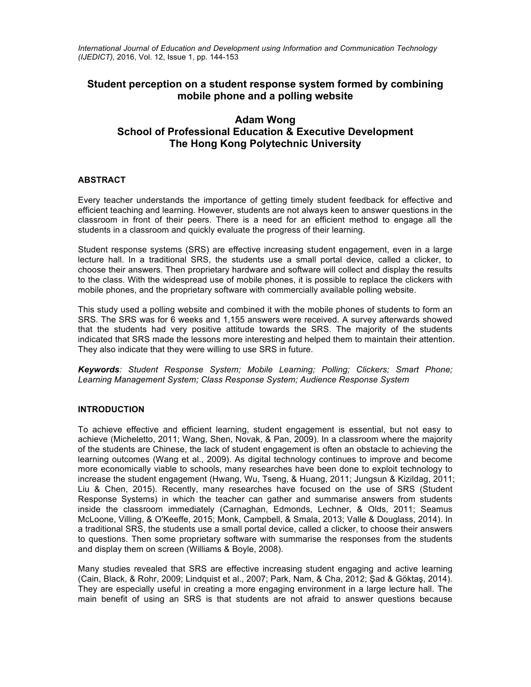*International Journal of Education and Development using Information and Communication Technology (IJEDICT),* 2016, Vol. 12, Issue 1, pp. 144-153

## **Student perception on a student response system formed by combining mobile phone and a polling website**

# **Adam Wong School of Professional Education & Executive Development The Hong Kong Polytechnic University**

## **ABSTRACT**

Every teacher understands the importance of getting timely student feedback for effective and efficient teaching and learning. However, students are not always keen to answer questions in the classroom in front of their peers. There is a need for an efficient method to engage all the students in a classroom and quickly evaluate the progress of their learning.

Student response systems (SRS) are effective increasing student engagement, even in a large lecture hall. In a traditional SRS, the students use a small portal device, called a clicker, to choose their answers. Then proprietary hardware and software will collect and display the results to the class. With the widespread use of mobile phones, it is possible to replace the clickers with mobile phones, and the proprietary software with commercially available polling website.

This study used a polling website and combined it with the mobile phones of students to form an SRS. The SRS was for 6 weeks and 1,155 answers were received. A survey afterwards showed that the students had very positive attitude towards the SRS. The majority of the students indicated that SRS made the lessons more interesting and helped them to maintain their attention. They also indicate that they were willing to use SRS in future.

*Keywords: Student Response System; Mobile Learning; Polling; Clickers; Smart Phone; Learning Management System; Class Response System; Audience Response System*

## **INTRODUCTION**

To achieve effective and efficient learning, student engagement is essential, but not easy to achieve (Micheletto, 2011; Wang, Shen, Novak, & Pan, 2009). In a classroom where the majority of the students are Chinese, the lack of student engagement is often an obstacle to achieving the learning outcomes (Wang et al., 2009). As digital technology continues to improve and become more economically viable to schools, many researches have been done to exploit technology to increase the student engagement (Hwang, Wu, Tseng, & Huang, 2011; Jungsun & Kizildag, 2011; Liu & Chen, 2015). Recently, many researches have focused on the use of SRS (Student Response Systems) in which the teacher can gather and summarise answers from students inside the classroom immediately (Carnaghan, Edmonds, Lechner, & Olds, 2011; Seamus McLoone, Villing, & O'Keeffe, 2015; Monk, Campbell, & Smala, 2013; Valle & Douglass, 2014). In a traditional SRS, the students use a small portal device, called a clicker, to choose their answers to questions. Then some proprietary software with summarise the responses from the students and display them on screen (Williams & Boyle, 2008).

Many studies revealed that SRS are effective increasing student engaging and active learning (Cain, Black, & Rohr, 2009; Lindquist et al., 2007; Park, Nam, & Cha, 2012; Şad & Göktaş, 2014). They are especially useful in creating a more engaging environment in a large lecture hall. The main benefit of using an SRS is that students are not afraid to answer questions because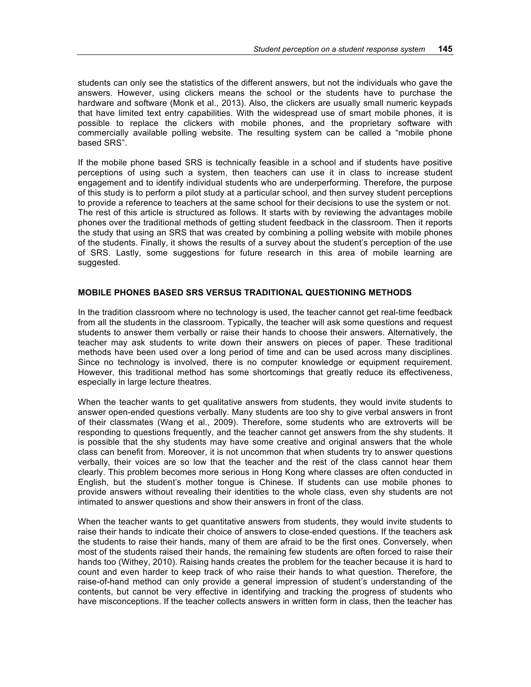students can only see the statistics of the different answers, but not the individuals who gave the answers. However, using clickers means the school or the students have to purchase the hardware and software (Monk et al., 2013). Also, the clickers are usually small numeric keypads that have limited text entry capabilities. With the widespread use of smart mobile phones, it is possible to replace the clickers with mobile phones, and the proprietary software with commercially available polling website. The resulting system can be called a "mobile phone based SRS".

If the mobile phone based SRS is technically feasible in a school and if students have positive perceptions of using such a system, then teachers can use it in class to increase student engagement and to identify individual students who are underperforming. Therefore, the purpose of this study is to perform a pilot study at a particular school, and then survey student perceptions to provide a reference to teachers at the same school for their decisions to use the system or not. The rest of this article is structured as follows. It starts with by reviewing the advantages mobile phones over the traditional methods of getting student feedback in the classroom. Then it reports the study that using an SRS that was created by combining a polling website with mobile phones of the students. Finally, it shows the results of a survey about the student's perception of the use of SRS. Lastly, some suggestions for future research in this area of mobile learning are suggested.

## **MOBILE PHONES BASED SRS VERSUS TRADITIONAL QUESTIONING METHODS**

In the tradition classroom where no technology is used, the teacher cannot get real-time feedback from all the students in the classroom. Typically, the teacher will ask some questions and request students to answer them verbally or raise their hands to choose their answers. Alternatively, the teacher may ask students to write down their answers on pieces of paper. These traditional methods have been used over a long period of time and can be used across many disciplines. Since no technology is involved, there is no computer knowledge or equipment requirement. However, this traditional method has some shortcomings that greatly reduce its effectiveness, especially in large lecture theatres.

When the teacher wants to get qualitative answers from students, they would invite students to answer open-ended questions verbally. Many students are too shy to give verbal answers in front of their classmates (Wang et al., 2009). Therefore, some students who are extroverts will be responding to questions frequently, and the teacher cannot get answers from the shy students. It is possible that the shy students may have some creative and original answers that the whole class can benefit from. Moreover, it is not uncommon that when students try to answer questions verbally, their voices are so low that the teacher and the rest of the class cannot hear them clearly. This problem becomes more serious in Hong Kong where classes are often conducted in English, but the student's mother tongue is Chinese. If students can use mobile phones to provide answers without revealing their identities to the whole class, even shy students are not intimated to answer questions and show their answers in front of the class.

When the teacher wants to get quantitative answers from students, they would invite students to raise their hands to indicate their choice of answers to close-ended questions. If the teachers ask the students to raise their hands, many of them are afraid to be the first ones. Conversely, when most of the students raised their hands, the remaining few students are often forced to raise their hands too (Withey, 2010). Raising hands creates the problem for the teacher because it is hard to count and even harder to keep track of who raise their hands to what question. Therefore, the raise-of-hand method can only provide a general impression of student's understanding of the contents, but cannot be very effective in identifying and tracking the progress of students who have misconceptions. If the teacher collects answers in written form in class, then the teacher has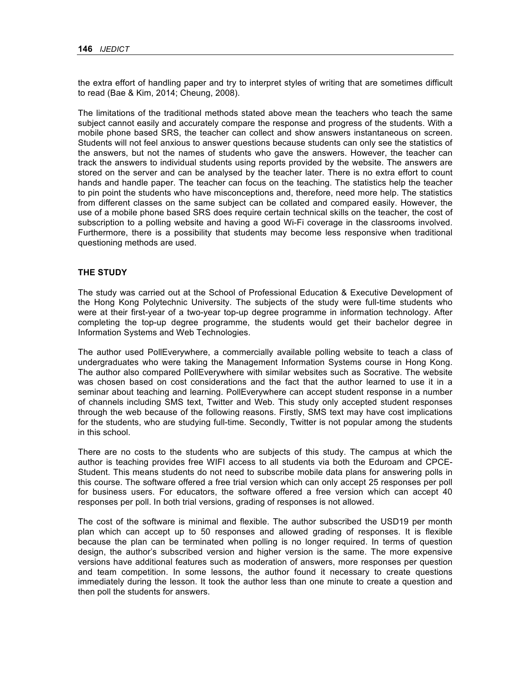the extra effort of handling paper and try to interpret styles of writing that are sometimes difficult to read (Bae & Kim, 2014; Cheung, 2008).

The limitations of the traditional methods stated above mean the teachers who teach the same subject cannot easily and accurately compare the response and progress of the students. With a mobile phone based SRS, the teacher can collect and show answers instantaneous on screen. Students will not feel anxious to answer questions because students can only see the statistics of the answers, but not the names of students who gave the answers. However, the teacher can track the answers to individual students using reports provided by the website. The answers are stored on the server and can be analysed by the teacher later. There is no extra effort to count hands and handle paper. The teacher can focus on the teaching. The statistics help the teacher to pin point the students who have misconceptions and, therefore, need more help. The statistics from different classes on the same subject can be collated and compared easily. However, the use of a mobile phone based SRS does require certain technical skills on the teacher, the cost of subscription to a polling website and having a good Wi-Fi coverage in the classrooms involved. Furthermore, there is a possibility that students may become less responsive when traditional questioning methods are used.

### **THE STUDY**

The study was carried out at the School of Professional Education & Executive Development of the Hong Kong Polytechnic University. The subjects of the study were full-time students who were at their first-year of a two-year top-up degree programme in information technology. After completing the top-up degree programme, the students would get their bachelor degree in Information Systems and Web Technologies.

The author used PollEverywhere, a commercially available polling website to teach a class of undergraduates who were taking the Management Information Systems course in Hong Kong. The author also compared PollEverywhere with similar websites such as Socrative. The website was chosen based on cost considerations and the fact that the author learned to use it in a seminar about teaching and learning. PollEverywhere can accept student response in a number of channels including SMS text, Twitter and Web. This study only accepted student responses through the web because of the following reasons. Firstly, SMS text may have cost implications for the students, who are studying full-time. Secondly, Twitter is not popular among the students in this school.

There are no costs to the students who are subjects of this study. The campus at which the author is teaching provides free WIFI access to all students via both the Eduroam and CPCE-Student. This means students do not need to subscribe mobile data plans for answering polls in this course. The software offered a free trial version which can only accept 25 responses per poll for business users. For educators, the software offered a free version which can accept 40 responses per poll. In both trial versions, grading of responses is not allowed.

The cost of the software is minimal and flexible. The author subscribed the USD19 per month plan which can accept up to 50 responses and allowed grading of responses. It is flexible because the plan can be terminated when polling is no longer required. In terms of question design, the author's subscribed version and higher version is the same. The more expensive versions have additional features such as moderation of answers, more responses per question and team competition. In some lessons, the author found it necessary to create questions immediately during the lesson. It took the author less than one minute to create a question and then poll the students for answers.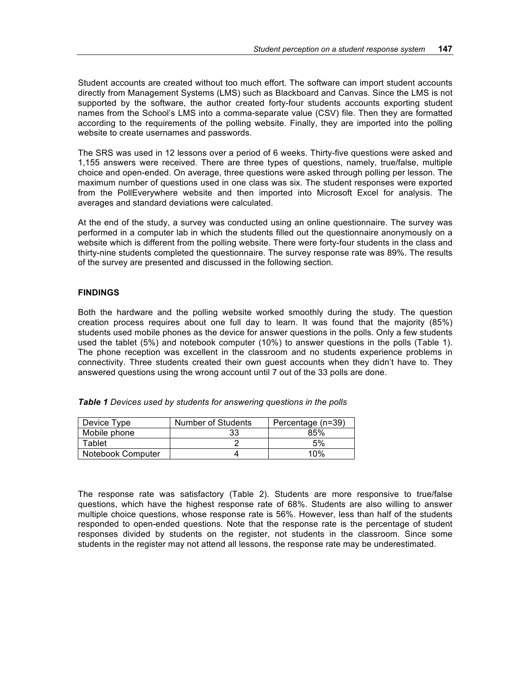Student accounts are created without too much effort. The software can import student accounts directly from Management Systems (LMS) such as Blackboard and Canvas. Since the LMS is not supported by the software, the author created forty-four students accounts exporting student names from the School's LMS into a comma-separate value (CSV) file. Then they are formatted according to the requirements of the polling website. Finally, they are imported into the polling website to create usernames and passwords.

The SRS was used in 12 lessons over a period of 6 weeks. Thirty-five questions were asked and 1,155 answers were received. There are three types of questions, namely, true/false, multiple choice and open-ended. On average, three questions were asked through polling per lesson. The maximum number of questions used in one class was six. The student responses were exported from the PollEverywhere website and then imported into Microsoft Excel for analysis. The averages and standard deviations were calculated.

At the end of the study, a survey was conducted using an online questionnaire. The survey was performed in a computer lab in which the students filled out the questionnaire anonymously on a website which is different from the polling website. There were forty-four students in the class and thirty-nine students completed the questionnaire. The survey response rate was 89%. The results of the survey are presented and discussed in the following section.

## **FINDINGS**

Both the hardware and the polling website worked smoothly during the study. The question creation process requires about one full day to learn. It was found that the majority (85%) students used mobile phones as the device for answer questions in the polls. Only a few students used the tablet (5%) and notebook computer (10%) to answer questions in the polls (Table 1). The phone reception was excellent in the classroom and no students experience problems in connectivity. Three students created their own guest accounts when they didn't have to. They answered questions using the wrong account until 7 out of the 33 polls are done.

| Device Type       | Number of Students | Percentage (n=39) |
|-------------------|--------------------|-------------------|
| Mobile phone      | 33                 | 85%               |
| Tablet            |                    | 5%                |
| Notebook Computer |                    | 10%               |

*Table 1 Devices used by students for answering questions in the polls*

The response rate was satisfactory (Table 2). Students are more responsive to true/false questions, which have the highest response rate of 68%. Students are also willing to answer multiple choice questions, whose response rate is 56%. However, less than half of the students responded to open-ended questions. Note that the response rate is the percentage of student responses divided by students on the register, not students in the classroom. Since some students in the register may not attend all lessons, the response rate may be underestimated.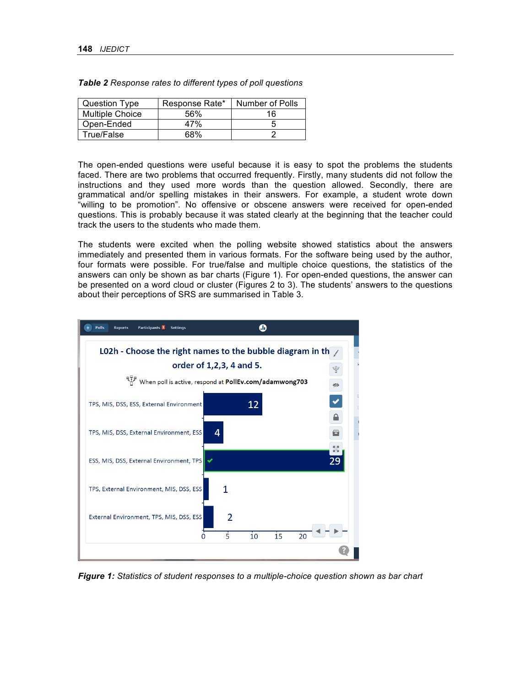| Question Type          | Response Rate* | Number of Polls |
|------------------------|----------------|-----------------|
| <b>Multiple Choice</b> | 56%            | 16              |
| Open-Ended             | 47%            |                 |
| True/False             | 68%            |                 |

*Table 2 Response rates to different types of poll questions*

The open-ended questions were useful because it is easy to spot the problems the students faced. There are two problems that occurred frequently. Firstly, many students did not follow the instructions and they used more words than the question allowed. Secondly, there are grammatical and/or spelling mistakes in their answers. For example, a student wrote down "willing to be promotion". No offensive or obscene answers were received for open-ended questions. This is probably because it was stated clearly at the beginning that the teacher could track the users to the students who made them.

The students were excited when the polling website showed statistics about the answers immediately and presented them in various formats. For the software being used by the author, four formats were possible. For true/false and multiple choice questions, the statistics of the answers can only be shown as bar charts (Figure 1). For open-ended questions, the answer can be presented on a word cloud or cluster (Figures 2 to 3). The students' answers to the questions about their perceptions of SRS are summarised in Table 3.



*Figure 1: Statistics of student responses to a multiple-choice question shown as bar chart*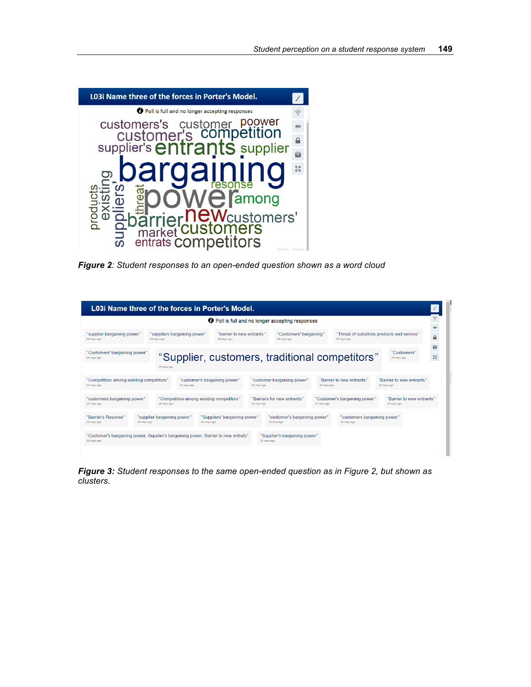

*Figure 2: Student responses to an open-ended question shown as a word cloud*

| L03i Name three of the forces in Porter's Model.                                                                                                  |             |                                                                             |                                          |             |                                                         |             |                                                            |                                          |                                 |
|---------------------------------------------------------------------------------------------------------------------------------------------------|-------------|-----------------------------------------------------------------------------|------------------------------------------|-------------|---------------------------------------------------------|-------------|------------------------------------------------------------|------------------------------------------|---------------------------------|
|                                                                                                                                                   |             |                                                                             |                                          |             | <b>O</b> Poll is full and no longer accepting responses |             |                                                            |                                          | 봡<br>$\sigma$                   |
| "supplier bargaining power"<br>29 days ago                                                                                                        | 29 days ago | "suppilers bargaining power"<br>"barrier to new entrants"<br>29 days ago    |                                          |             | "Customers' bargaining"<br>29 days ago                  |             | "Threat of substitute products and service"<br>29 days ago |                                          | $\triangle$                     |
| "Customers' bargaining power"<br>29 days ago                                                                                                      | 29 days ago |                                                                             |                                          |             | "Supplier, customers, traditional competitors"          |             |                                                            | "Customers"<br>29 days ago               | $\blacksquare$<br>$\frac{R}{4}$ |
| "Competition among existing competitors"<br>29 days ago                                                                                           |             | 29 days ago                                                                 | "customer's bargaining power"            | 29 days ago | "customer bargaining power"                             | 29 days ago | "Barrier to new entrants"                                  | "Barrier to new entrants"<br>29 days ago |                                 |
| "customers bargaining power"<br>29 days ago                                                                                                       | 29 days ago |                                                                             | "Competition among existing competitors" | 29 days ago | "Barriers for new entrants"                             | 29 days ago | "Customer's bargaining power"                              | "Barrier to new entrants"<br>29 days ago |                                 |
| "Barrier's Resonse"<br>29 days ago                                                                                                                | 29 days ago | "supplier bargaining power"<br>"Suppliers' bargaining power"<br>29 days ago |                                          |             | "customer's bargaining power"<br>29 days ago            |             | "customers bargaining power"<br>29 days ago                |                                          |                                 |
| "Customer's bargaining power, Supplier's bargaining power, Barrier to new entrats"<br>"Supplier's bargaining power"<br>29 days ago<br>29 days ago |             |                                                                             |                                          |             |                                                         |             |                                                            |                                          |                                 |
|                                                                                                                                                   |             |                                                                             |                                          |             |                                                         |             |                                                            |                                          |                                 |

*Figure 3: Student responses to the same open-ended question as in Figure 2, but shown as clusters.*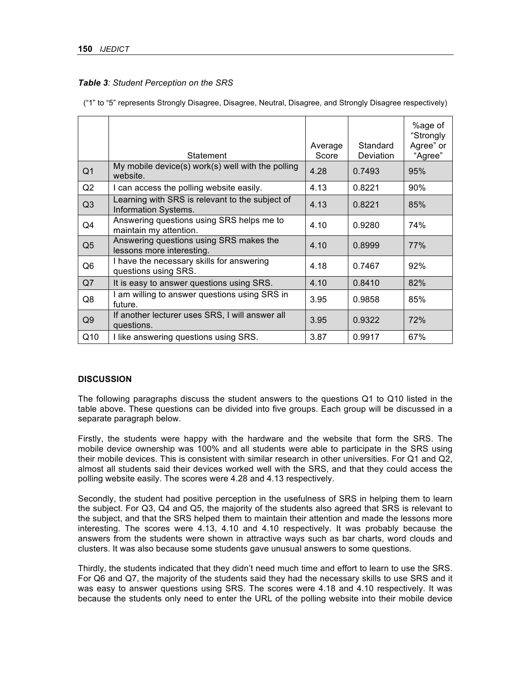## *Table 3: Student Perception on the SRS*

("1" to "5" represents Strongly Disagree, Disagree, Neutral, Disagree, and Strongly Disagree respectively)

|                | Statement                                                               | Average<br>Score | Standard<br><b>Deviation</b> | %age of<br>"Strongly<br>Agree" or<br>"Agree" |
|----------------|-------------------------------------------------------------------------|------------------|------------------------------|----------------------------------------------|
| Q <sub>1</sub> | My mobile device(s) work(s) well with the polling<br>website.           | 4.28             | 0.7493                       | 95%                                          |
| Q2             | I can access the polling website easily.                                | 4.13             | 0.8221                       | 90%                                          |
| Q3             | Learning with SRS is relevant to the subject of<br>Information Systems. | 4.13             | 0.8221                       | 85%                                          |
| Q4             | Answering questions using SRS helps me to<br>maintain my attention.     | 4.10             | 0.9280                       | 74%                                          |
| Q <sub>5</sub> | Answering questions using SRS makes the<br>lessons more interesting.    | 4.10             | 0.8999                       | 77%                                          |
| Q <sub>6</sub> | I have the necessary skills for answering<br>questions using SRS.       | 4.18             | 0.7467                       | 92%                                          |
| Q7             | It is easy to answer questions using SRS.                               | 4.10             | 0.8410                       | 82%                                          |
| Q8             | I am willing to answer questions using SRS in<br>future.                | 3.95             | 0.9858                       | 85%                                          |
| Q9             | If another lecturer uses SRS, I will answer all<br>questions.           | 3.95             | 0.9322                       | 72%                                          |
| Q10            | I like answering questions using SRS.                                   | 3.87             | 0.9917                       | 67%                                          |

## **DISCUSSION**

The following paragraphs discuss the student answers to the questions Q1 to Q10 listed in the table above. These questions can be divided into five groups. Each group will be discussed in a separate paragraph below.

Firstly, the students were happy with the hardware and the website that form the SRS. The mobile device ownership was 100% and all students were able to participate in the SRS using their mobile devices. This is consistent with similar research in other universities. For Q1 and Q2, almost all students said their devices worked well with the SRS, and that they could access the polling website easily. The scores were 4.28 and 4.13 respectively.

Secondly, the student had positive perception in the usefulness of SRS in helping them to learn the subject. For Q3, Q4 and Q5, the majority of the students also agreed that SRS is relevant to the subject, and that the SRS helped them to maintain their attention and made the lessons more interesting. The scores were 4.13, 4.10 and 4.10 respectively. It was probably because the answers from the students were shown in attractive ways such as bar charts, word clouds and clusters. It was also because some students gave unusual answers to some questions.

Thirdly, the students indicated that they didn't need much time and effort to learn to use the SRS. For Q6 and Q7, the majority of the students said they had the necessary skills to use SRS and it was easy to answer questions using SRS. The scores were 4.18 and 4.10 respectively. It was because the students only need to enter the URL of the polling website into their mobile device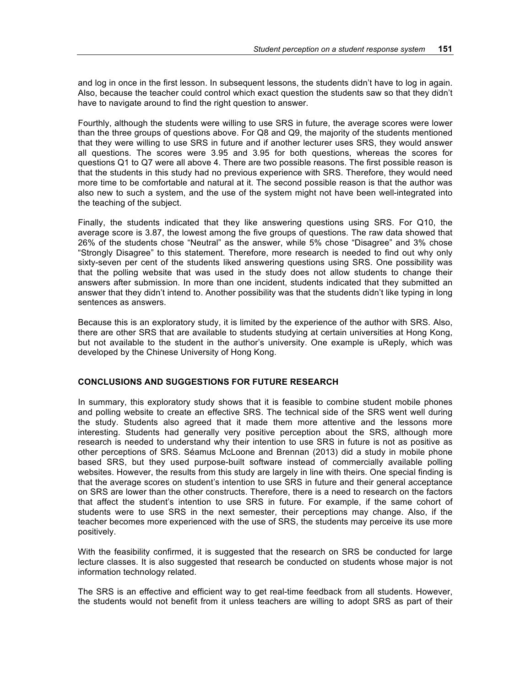and log in once in the first lesson. In subsequent lessons, the students didn't have to log in again. Also, because the teacher could control which exact question the students saw so that they didn't have to navigate around to find the right question to answer.

Fourthly, although the students were willing to use SRS in future, the average scores were lower than the three groups of questions above. For Q8 and Q9, the majority of the students mentioned that they were willing to use SRS in future and if another lecturer uses SRS, they would answer all questions. The scores were 3.95 and 3.95 for both questions, whereas the scores for questions Q1 to Q7 were all above 4. There are two possible reasons. The first possible reason is that the students in this study had no previous experience with SRS. Therefore, they would need more time to be comfortable and natural at it. The second possible reason is that the author was also new to such a system, and the use of the system might not have been well-integrated into the teaching of the subject.

Finally, the students indicated that they like answering questions using SRS. For Q10, the average score is 3.87, the lowest among the five groups of questions. The raw data showed that 26% of the students chose "Neutral" as the answer, while 5% chose "Disagree" and 3% chose "Strongly Disagree" to this statement. Therefore, more research is needed to find out why only sixty-seven per cent of the students liked answering questions using SRS. One possibility was that the polling website that was used in the study does not allow students to change their answers after submission. In more than one incident, students indicated that they submitted an answer that they didn't intend to. Another possibility was that the students didn't like typing in long sentences as answers.

Because this is an exploratory study, it is limited by the experience of the author with SRS. Also, there are other SRS that are available to students studying at certain universities at Hong Kong, but not available to the student in the author's university. One example is uReply, which was developed by the Chinese University of Hong Kong.

## **CONCLUSIONS AND SUGGESTIONS FOR FUTURE RESEARCH**

In summary, this exploratory study shows that it is feasible to combine student mobile phones and polling website to create an effective SRS. The technical side of the SRS went well during the study. Students also agreed that it made them more attentive and the lessons more interesting. Students had generally very positive perception about the SRS, although more research is needed to understand why their intention to use SRS in future is not as positive as other perceptions of SRS. Séamus McLoone and Brennan (2013) did a study in mobile phone based SRS, but they used purpose-built software instead of commercially available polling websites. However, the results from this study are largely in line with theirs. One special finding is that the average scores on student's intention to use SRS in future and their general acceptance on SRS are lower than the other constructs. Therefore, there is a need to research on the factors that affect the student's intention to use SRS in future. For example, if the same cohort of students were to use SRS in the next semester, their perceptions may change. Also, if the teacher becomes more experienced with the use of SRS, the students may perceive its use more positively.

With the feasibility confirmed, it is suggested that the research on SRS be conducted for large lecture classes. It is also suggested that research be conducted on students whose major is not information technology related.

The SRS is an effective and efficient way to get real-time feedback from all students. However, the students would not benefit from it unless teachers are willing to adopt SRS as part of their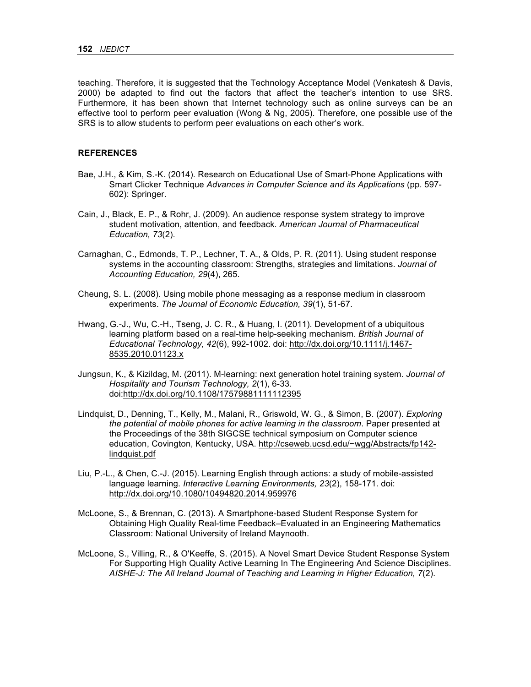teaching. Therefore, it is suggested that the Technology Acceptance Model (Venkatesh & Davis, 2000) be adapted to find out the factors that affect the teacher's intention to use SRS. Furthermore, it has been shown that Internet technology such as online surveys can be an effective tool to perform peer evaluation (Wong & Ng, 2005). Therefore, one possible use of the SRS is to allow students to perform peer evaluations on each other's work.

#### **REFERENCES**

- Bae, J.H., & Kim, S.-K. (2014). Research on Educational Use of Smart-Phone Applications with Smart Clicker Technique *Advances in Computer Science and its Applications* (pp. 597- 602): Springer.
- Cain, J., Black, E. P., & Rohr, J. (2009). An audience response system strategy to improve student motivation, attention, and feedback. *American Journal of Pharmaceutical Education, 73*(2).
- Carnaghan, C., Edmonds, T. P., Lechner, T. A., & Olds, P. R. (2011). Using student response systems in the accounting classroom: Strengths, strategies and limitations. *Journal of Accounting Education, 29*(4), 265.
- Cheung, S. L. (2008). Using mobile phone messaging as a response medium in classroom experiments. *The Journal of Economic Education, 39*(1), 51-67.
- Hwang, G.-J., Wu, C.-H., Tseng, J. C. R., & Huang, I. (2011). Development of a ubiquitous learning platform based on a real-time help-seeking mechanism. *British Journal of Educational Technology, 42*(6), 992-1002. doi: http://dx.doi.org/10.1111/j.1467- 8535.2010.01123.x
- Jungsun, K., & Kizildag, M. (2011). M-learning: next generation hotel training system. *Journal of Hospitality and Tourism Technology, 2*(1), 6-33. doi:http://dx.doi.org/10.1108/17579881111112395
- Lindquist, D., Denning, T., Kelly, M., Malani, R., Griswold, W. G., & Simon, B. (2007). *Exploring the potential of mobile phones for active learning in the classroom*. Paper presented at the Proceedings of the 38th SIGCSE technical symposium on Computer science education, Covington, Kentucky, USA. http://cseweb.ucsd.edu/~wgg/Abstracts/fp142 lindquist.pdf
- Liu, P.-L., & Chen, C.-J. (2015). Learning English through actions: a study of mobile-assisted language learning. *Interactive Learning Environments, 23*(2), 158-171. doi: http://dx.doi.org/10.1080/10494820.2014.959976
- McLoone, S., & Brennan, C. (2013). A Smartphone-based Student Response System for Obtaining High Quality Real-time Feedback–Evaluated in an Engineering Mathematics Classroom: National University of Ireland Maynooth.
- McLoone, S., Villing, R., & O'Keeffe, S. (2015). A Novel Smart Device Student Response System For Supporting High Quality Active Learning In The Engineering And Science Disciplines. *AISHE-J: The All Ireland Journal of Teaching and Learning in Higher Education, 7*(2).